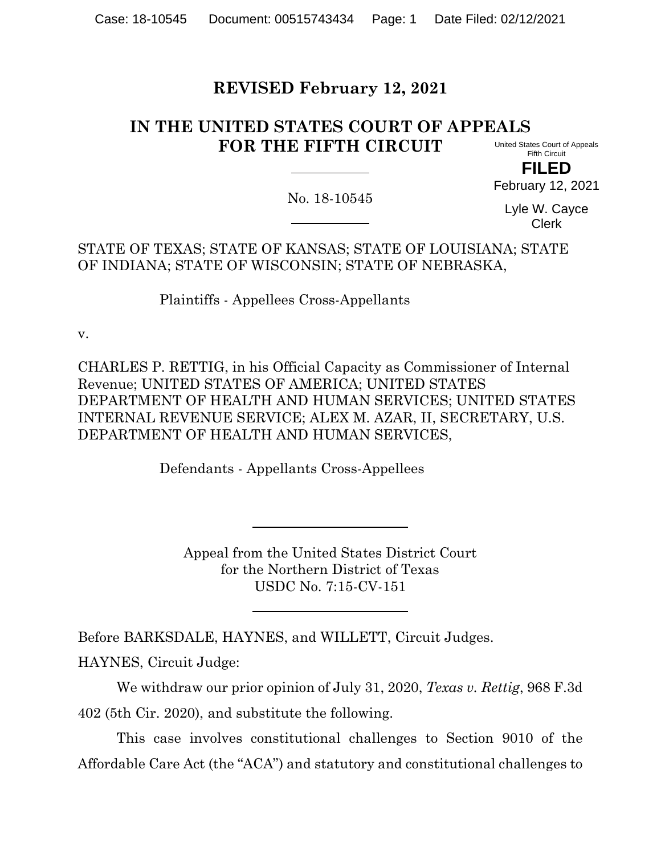# **REVISED February 12, 2021**

#### **IN THE UNITED STATES COURT OF APPEALS FOR THE FIFTH CIRCUIT** United States Court of Appeals

Fifth Circuit **FILED**

February 12, 2021

No. 18-10545

Lyle W. Cayce Clerk

STATE OF TEXAS; STATE OF KANSAS; STATE OF LOUISIANA; STATE OF INDIANA; STATE OF WISCONSIN; STATE OF NEBRASKA,

Plaintiffs - Appellees Cross-Appellants

v.

CHARLES P. RETTIG, in his Official Capacity as Commissioner of Internal Revenue; UNITED STATES OF AMERICA; UNITED STATES DEPARTMENT OF HEALTH AND HUMAN SERVICES; UNITED STATES INTERNAL REVENUE SERVICE; ALEX M. AZAR, II, SECRETARY, U.S. DEPARTMENT OF HEALTH AND HUMAN SERVICES,

Defendants - Appellants Cross-Appellees

Appeal from the United States District Court for the Northern District of Texas USDC No. 7:15-CV-151

Before BARKSDALE, HAYNES, and WILLETT, Circuit Judges.

HAYNES, Circuit Judge:

We withdraw our prior opinion of July 31, 2020, *Texas v. Rettig*, 968 F.3d 402 (5th Cir. 2020), and substitute the following.

This case involves constitutional challenges to Section 9010 of the Affordable Care Act (the "ACA") and statutory and constitutional challenges to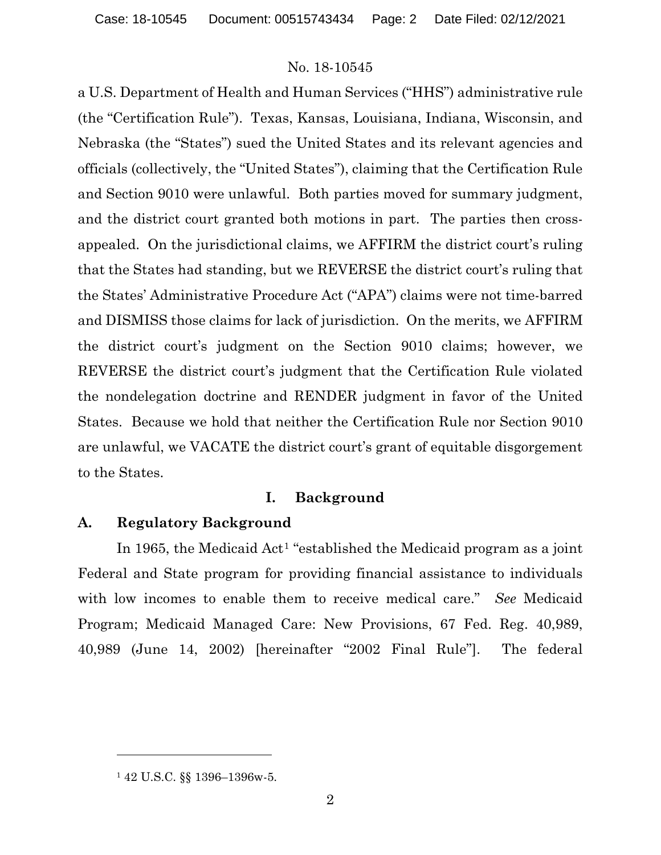a U.S. Department of Health and Human Services ("HHS") administrative rule (the "Certification Rule"). Texas, Kansas, Louisiana, Indiana, Wisconsin, and Nebraska (the "States") sued the United States and its relevant agencies and officials (collectively, the "United States"), claiming that the Certification Rule and Section 9010 were unlawful. Both parties moved for summary judgment, and the district court granted both motions in part. The parties then crossappealed. On the jurisdictional claims, we AFFIRM the district court's ruling that the States had standing, but we REVERSE the district court's ruling that the States' Administrative Procedure Act ("APA") claims were not time-barred and DISMISS those claims for lack of jurisdiction. On the merits, we AFFIRM the district court's judgment on the Section 9010 claims; however, we REVERSE the district court's judgment that the Certification Rule violated the nondelegation doctrine and RENDER judgment in favor of the United States. Because we hold that neither the Certification Rule nor Section 9010 are unlawful, we VACATE the district court's grant of equitable disgorgement to the States.

# **I. Background**

# **A. Regulatory Background**

In 1965, the Medicaid Act[1](#page-1-0) "established the Medicaid program as a joint Federal and State program for providing financial assistance to individuals with low incomes to enable them to receive medical care." *See* Medicaid Program; Medicaid Managed Care: New Provisions, 67 Fed. Reg. 40,989, 40,989 (June 14, 2002) [hereinafter "2002 Final Rule"]. The federal

<span id="page-1-0"></span><sup>1</sup> 42 U.S.C. §§ 1396–1396w-5.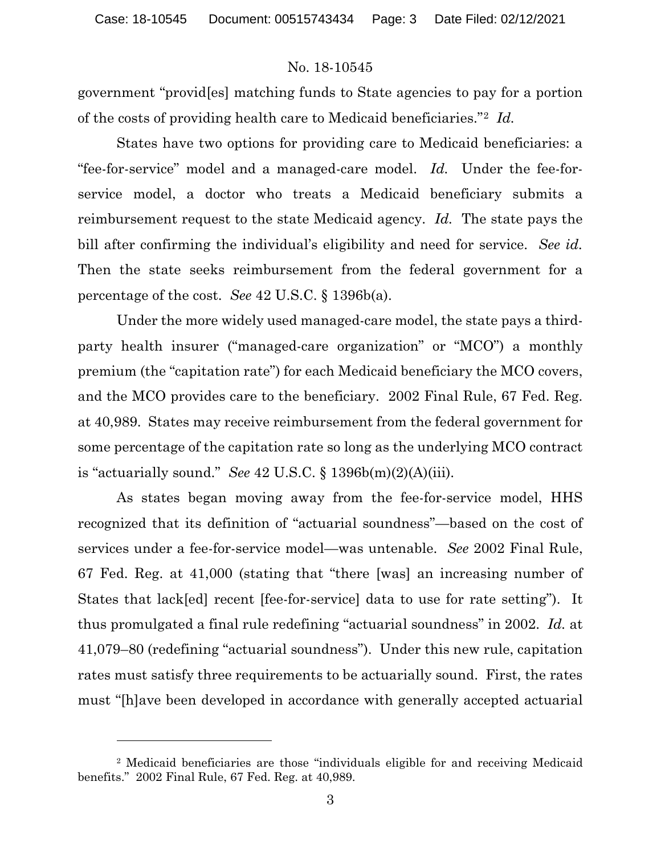government "provid[es] matching funds to State agencies to pay for a portion of the costs of providing health care to Medicaid beneficiaries."[2](#page-2-0) *Id.*

States have two options for providing care to Medicaid beneficiaries: a "fee-for-service" model and a managed-care model. *Id.* Under the fee-forservice model, a doctor who treats a Medicaid beneficiary submits a reimbursement request to the state Medicaid agency. *Id.* The state pays the bill after confirming the individual's eligibility and need for service. *See id.* Then the state seeks reimbursement from the federal government for a percentage of the cost. *See* 42 U.S.C. § 1396b(a).

Under the more widely used managed-care model, the state pays a thirdparty health insurer ("managed-care organization" or "MCO") a monthly premium (the "capitation rate") for each Medicaid beneficiary the MCO covers, and the MCO provides care to the beneficiary. 2002 Final Rule, 67 Fed. Reg. at 40,989. States may receive reimbursement from the federal government for some percentage of the capitation rate so long as the underlying MCO contract is "actuarially sound." *See* 42 U.S.C. § 1396b(m)(2)(A)(iii).

As states began moving away from the fee-for-service model, HHS recognized that its definition of "actuarial soundness"—based on the cost of services under a fee-for-service model—was untenable. *See* 2002 Final Rule, 67 Fed. Reg. at 41,000 (stating that "there [was] an increasing number of States that lack[ed] recent [fee-for-service] data to use for rate setting"). It thus promulgated a final rule redefining "actuarial soundness" in 2002. *Id.* at 41,079–80 (redefining "actuarial soundness"). Under this new rule, capitation rates must satisfy three requirements to be actuarially sound. First, the rates must "[h]ave been developed in accordance with generally accepted actuarial

<span id="page-2-0"></span><sup>2</sup> Medicaid beneficiaries are those "individuals eligible for and receiving Medicaid benefits." 2002 Final Rule, 67 Fed. Reg. at 40,989.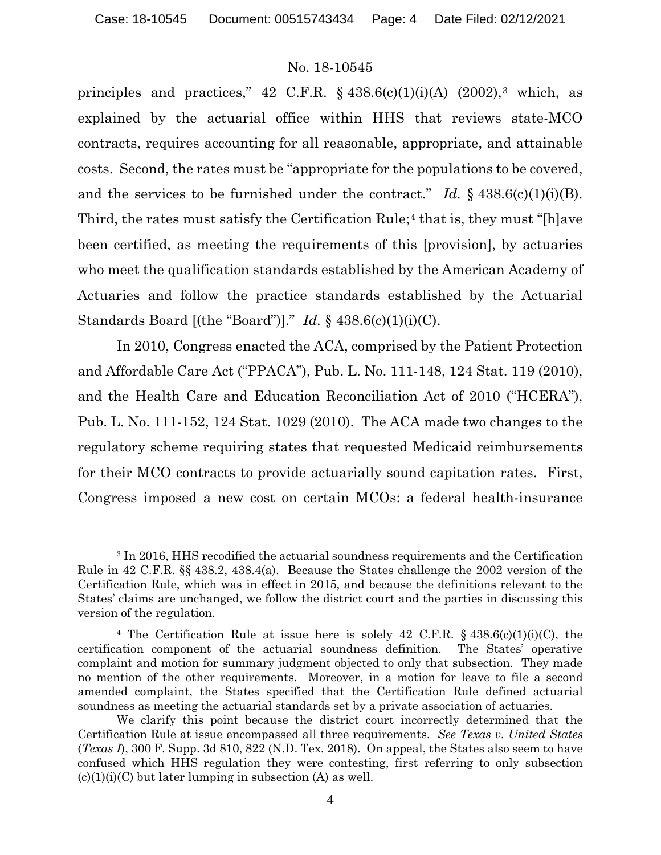principles and practices," 42 C.F.R.  $\S$  4[3](#page-3-0)8.6(c)(1)(i)(A) (2002),<sup>3</sup> which, as explained by the actuarial office within HHS that reviews state-MCO contracts, requires accounting for all reasonable, appropriate, and attainable costs. Second, the rates must be "appropriate for the populations to be covered, and the services to be furnished under the contract." *Id.*  $\S$  438.6(c)(1)(i)(B). Third, the rates must satisfy the Certification Rule;<sup>[4](#page-3-1)</sup> that is, they must "[h]ave been certified, as meeting the requirements of this [provision], by actuaries who meet the qualification standards established by the American Academy of Actuaries and follow the practice standards established by the Actuarial Standards Board [(the "Board")]." *Id.* § 438.6(c)(1)(i)(C).

In 2010, Congress enacted the ACA, comprised by the Patient Protection and Affordable Care Act ("PPACA"), Pub. L. No. 111-148, 124 Stat. 119 (2010), and the Health Care and Education Reconciliation Act of 2010 ("HCERA"), Pub. L. No. 111-152, 124 Stat. 1029 (2010). The ACA made two changes to the regulatory scheme requiring states that requested Medicaid reimbursements for their MCO contracts to provide actuarially sound capitation rates. First, Congress imposed a new cost on certain MCOs: a federal health-insurance

<span id="page-3-0"></span><sup>3</sup> In 2016, HHS recodified the actuarial soundness requirements and the Certification Rule in 42 C.F.R. §§ 438.2, 438.4(a). Because the States challenge the 2002 version of the Certification Rule, which was in effect in 2015, and because the definitions relevant to the States' claims are unchanged, we follow the district court and the parties in discussing this version of the regulation.

<span id="page-3-1"></span><sup>&</sup>lt;sup>4</sup> The Certification Rule at issue here is solely 42 C.F.R.  $\S$  438.6(c)(1)(i)(C), the certification component of the actuarial soundness definition. The States' operative complaint and motion for summary judgment objected to only that subsection. They made no mention of the other requirements. Moreover, in a motion for leave to file a second amended complaint, the States specified that the Certification Rule defined actuarial soundness as meeting the actuarial standards set by a private association of actuaries.

We clarify this point because the district court incorrectly determined that the Certification Rule at issue encompassed all three requirements. *See Texas v. United States*  (*Texas I*), 300 F. Supp. 3d 810, 822 (N.D. Tex. 2018).On appeal, the States also seem to have confused which HHS regulation they were contesting, first referring to only subsection  $(c)(1)(i)(C)$  but later lumping in subsection (A) as well.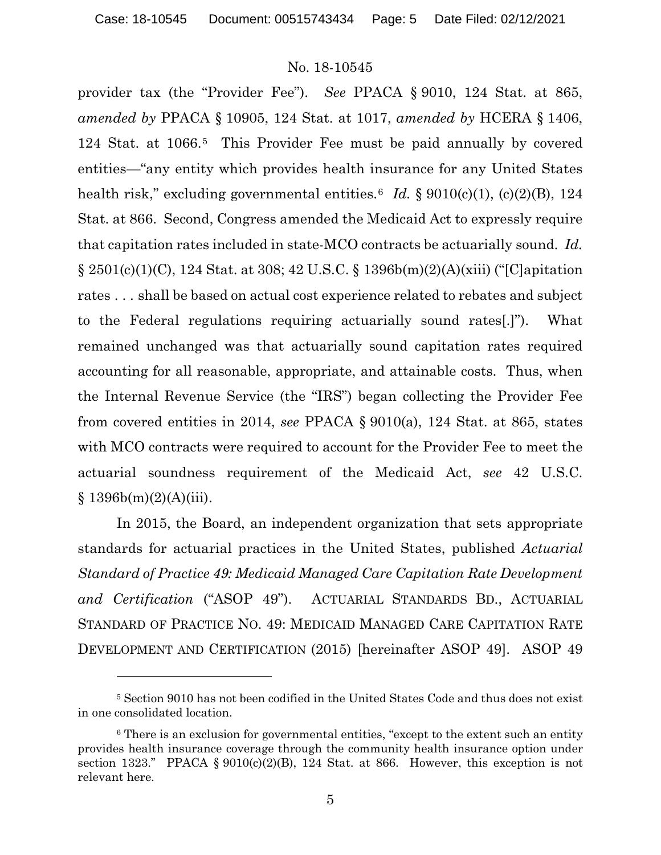provider tax (the "Provider Fee"). *See* PPACA § 9010, 124 Stat. at 865, *amended by* PPACA § 10905, 124 Stat. at 1017, *amended by* HCERA § 1406, 124 Stat. at 1066.[5](#page-4-0) This Provider Fee must be paid annually by covered entities—"any entity which provides health insurance for any United States health risk," excluding governmental entities.<sup>[6](#page-4-1)</sup> *Id.* § 9010(c)(1), (c)(2)(B), 124 Stat. at 866. Second, Congress amended the Medicaid Act to expressly require that capitation rates included in state-MCO contracts be actuarially sound. *Id.* § 2501(c)(1)(C), 124 Stat. at 308; 42 U.S.C. § 1396b(m)(2)(A)(xiii) ("[C]apitation rates . . . shall be based on actual cost experience related to rebates and subject to the Federal regulations requiring actuarially sound rates[.]"). What remained unchanged was that actuarially sound capitation rates required accounting for all reasonable, appropriate, and attainable costs. Thus, when the Internal Revenue Service (the "IRS") began collecting the Provider Fee from covered entities in 2014, *see* PPACA § 9010(a), 124 Stat. at 865, states with MCO contracts were required to account for the Provider Fee to meet the actuarial soundness requirement of the Medicaid Act, *see* 42 U.S.C.  $§ 1396b(m)(2)(A)(iii).$ 

In 2015, the Board, an independent organization that sets appropriate standards for actuarial practices in the United States, published *Actuarial Standard of Practice 49: Medicaid Managed Care Capitation Rate Development and Certification* ("ASOP 49"). ACTUARIAL STANDARDS BD., ACTUARIAL STANDARD OF PRACTICE NO. 49: MEDICAID MANAGED CARE CAPITATION RATE DEVELOPMENT AND CERTIFICATION (2015) [hereinafter ASOP 49]. ASOP 49

<span id="page-4-0"></span><sup>5</sup> Section 9010 has not been codified in the United States Code and thus does not exist in one consolidated location.

<span id="page-4-1"></span><sup>&</sup>lt;sup>6</sup> There is an exclusion for governmental entities, "except to the extent such an entity provides health insurance coverage through the community health insurance option under section 1323." PPACA  $\S 9010(c)(2)(B)$ , 124 Stat. at 866. However, this exception is not relevant here.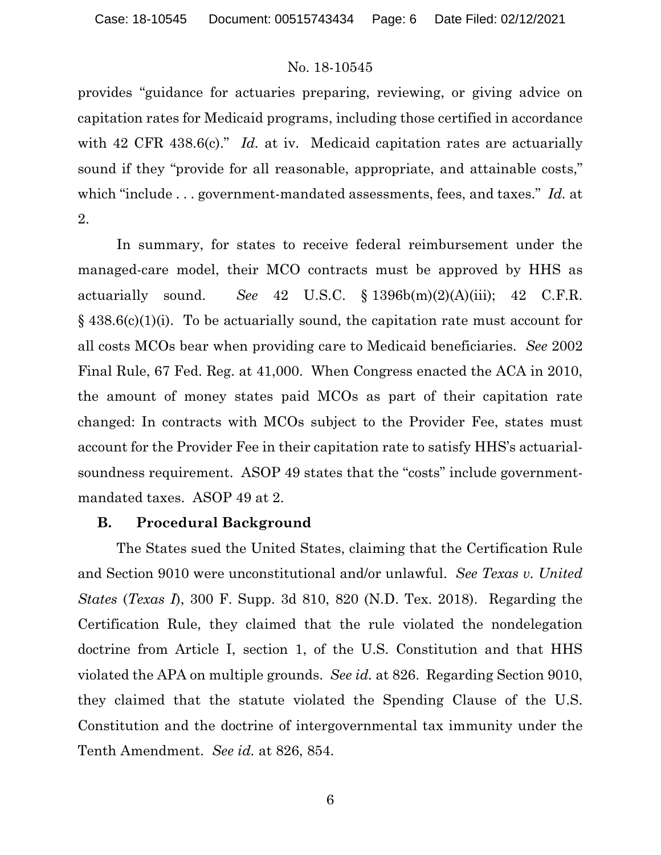provides "guidance for actuaries preparing, reviewing, or giving advice on capitation rates for Medicaid programs, including those certified in accordance with 42 CFR 438.6(c)." *Id.* at iv. Medicaid capitation rates are actuarially sound if they "provide for all reasonable, appropriate, and attainable costs," which "include . . . government-mandated assessments, fees, and taxes." *Id.* at 2.

In summary, for states to receive federal reimbursement under the managed-care model, their MCO contracts must be approved by HHS as actuarially sound. *See* 42 U.S.C. § 1396b(m)(2)(A)(iii); 42 C.F.R. § 438.6(c)(1)(i). To be actuarially sound, the capitation rate must account for all costs MCOs bear when providing care to Medicaid beneficiaries. *See* 2002 Final Rule, 67 Fed. Reg. at 41,000. When Congress enacted the ACA in 2010, the amount of money states paid MCOs as part of their capitation rate changed: In contracts with MCOs subject to the Provider Fee, states must account for the Provider Fee in their capitation rate to satisfy HHS's actuarialsoundness requirement. ASOP 49 states that the "costs" include governmentmandated taxes. ASOP 49 at 2.

# **B. Procedural Background**

The States sued the United States, claiming that the Certification Rule and Section 9010 were unconstitutional and/or unlawful. *See Texas v. United States* (*Texas I*), 300 F. Supp. 3d 810, 820 (N.D. Tex. 2018). Regarding the Certification Rule, they claimed that the rule violated the nondelegation doctrine from Article I, section 1, of the U.S. Constitution and that HHS violated the APA on multiple grounds. *See id.* at 826. Regarding Section 9010, they claimed that the statute violated the Spending Clause of the U.S. Constitution and the doctrine of intergovernmental tax immunity under the Tenth Amendment. *See id.* at 826, 854.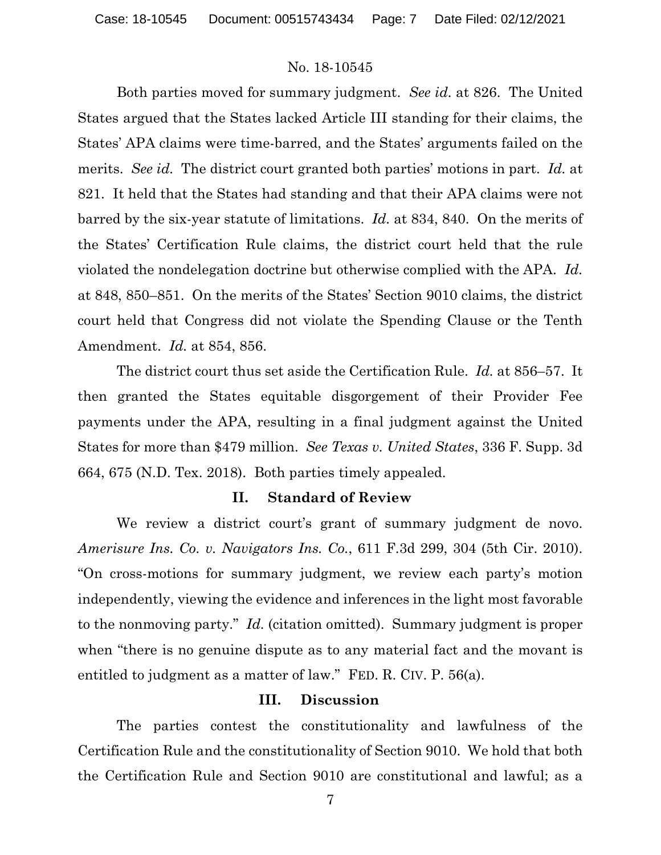Both parties moved for summary judgment. *See id.* at 826. The United States argued that the States lacked Article III standing for their claims, the States' APA claims were time-barred, and the States' arguments failed on the merits. *See id.* The district court granted both parties' motions in part. *Id.* at 821. It held that the States had standing and that their APA claims were not barred by the six-year statute of limitations. *Id.* at 834, 840. On the merits of the States' Certification Rule claims, the district court held that the rule violated the nondelegation doctrine but otherwise complied with the APA. *Id.* at 848, 850–851. On the merits of the States' Section 9010 claims, the district court held that Congress did not violate the Spending Clause or the Tenth Amendment. *Id.* at 854, 856.

The district court thus set aside the Certification Rule. *Id.* at 856–57. It then granted the States equitable disgorgement of their Provider Fee payments under the APA, resulting in a final judgment against the United States for more than \$479 million. *See Texas v. United States*, 336 F. Supp. 3d 664, 675 (N.D. Tex. 2018).Both parties timely appealed.

#### **II. Standard of Review**

We review a district court's grant of summary judgment de novo. *Amerisure Ins. Co. v. Navigators Ins. Co.*, 611 F.3d 299, 304 (5th Cir. 2010). "On cross-motions for summary judgment, we review each party's motion independently, viewing the evidence and inferences in the light most favorable to the nonmoving party." *Id.* (citation omitted). Summary judgment is proper when "there is no genuine dispute as to any material fact and the movant is entitled to judgment as a matter of law." FED. R. CIV. P. 56(a).

#### **III. Discussion**

The parties contest the constitutionality and lawfulness of the Certification Rule and the constitutionality of Section 9010. We hold that both the Certification Rule and Section 9010 are constitutional and lawful; as a

7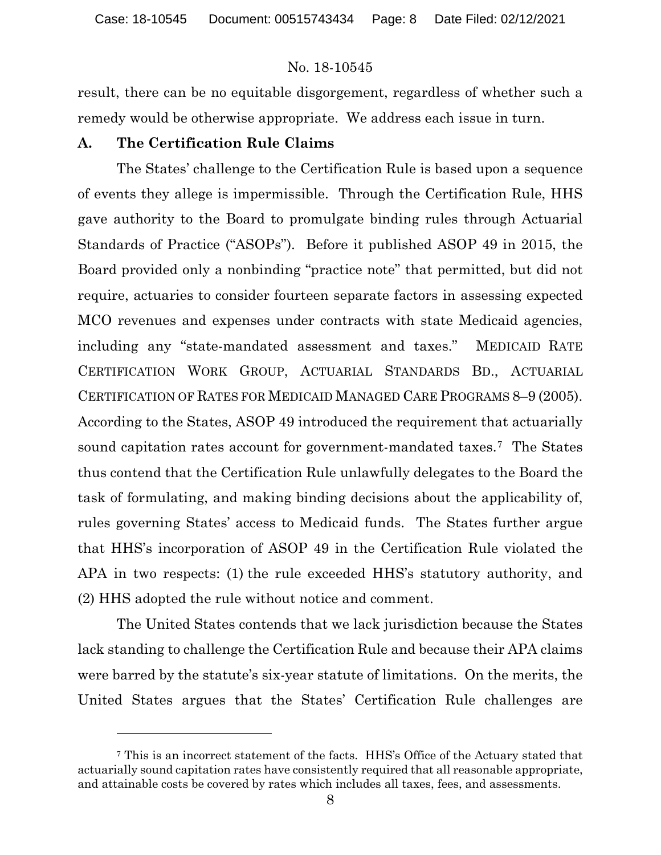Case: 18-10545 Document: 00515743434 Page: 8 Date Filed: 02/12/2021

### No. 18-10545

result, there can be no equitable disgorgement, regardless of whether such a remedy would be otherwise appropriate. We address each issue in turn.

# **A. The Certification Rule Claims**

The States' challenge to the Certification Rule is based upon a sequence of events they allege is impermissible. Through the Certification Rule, HHS gave authority to the Board to promulgate binding rules through Actuarial Standards of Practice ("ASOPs"). Before it published ASOP 49 in 2015, the Board provided only a nonbinding "practice note" that permitted, but did not require, actuaries to consider fourteen separate factors in assessing expected MCO revenues and expenses under contracts with state Medicaid agencies, including any "state-mandated assessment and taxes." MEDICAID RATE CERTIFICATION WORK GROUP, ACTUARIAL STANDARDS BD., ACTUARIAL CERTIFICATION OF RATES FOR MEDICAID MANAGED CARE PROGRAMS 8–9 (2005). According to the States, ASOP 49 introduced the requirement that actuarially sound capitation rates account for government-mandated taxes.[7](#page-7-0) The States thus contend that the Certification Rule unlawfully delegates to the Board the task of formulating, and making binding decisions about the applicability of, rules governing States' access to Medicaid funds. The States further argue that HHS's incorporation of ASOP 49 in the Certification Rule violated the APA in two respects: (1) the rule exceeded HHS's statutory authority, and (2) HHS adopted the rule without notice and comment.

The United States contends that we lack jurisdiction because the States lack standing to challenge the Certification Rule and because their APA claims were barred by the statute's six-year statute of limitations. On the merits, the United States argues that the States' Certification Rule challenges are

<span id="page-7-0"></span><sup>7</sup> This is an incorrect statement of the facts. HHS's Office of the Actuary stated that actuarially sound capitation rates have consistently required that all reasonable appropriate, and attainable costs be covered by rates which includes all taxes, fees, and assessments.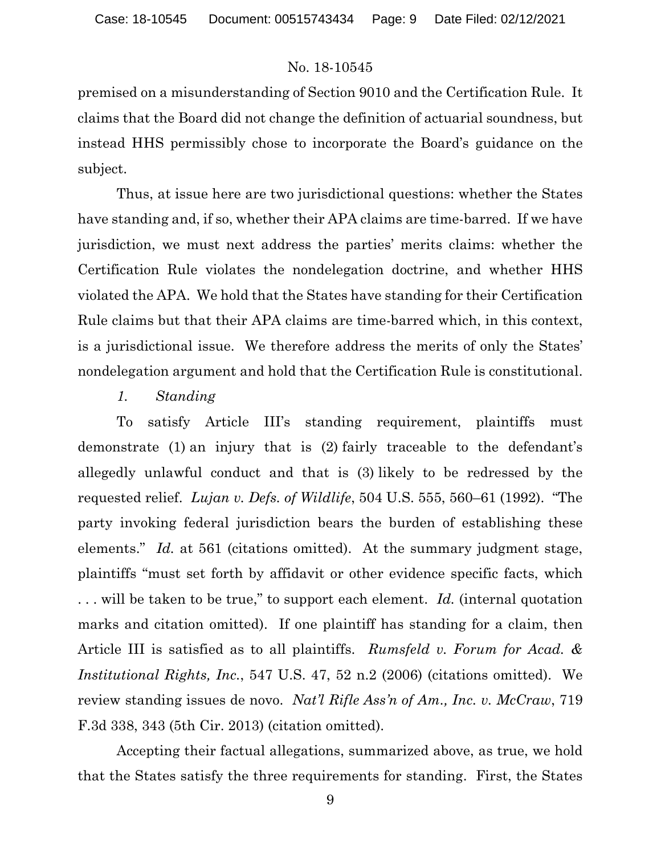premised on a misunderstanding of Section 9010 and the Certification Rule. It claims that the Board did not change the definition of actuarial soundness, but instead HHS permissibly chose to incorporate the Board's guidance on the subject.

Thus, at issue here are two jurisdictional questions: whether the States have standing and, if so, whether their APA claims are time-barred. If we have jurisdiction, we must next address the parties' merits claims: whether the Certification Rule violates the nondelegation doctrine, and whether HHS violated the APA. We hold that the States have standing for their Certification Rule claims but that their APA claims are time-barred which, in this context, is a jurisdictional issue. We therefore address the merits of only the States' nondelegation argument and hold that the Certification Rule is constitutional.

# *1. Standing*

To satisfy Article III's standing requirement, plaintiffs must demonstrate (1) an injury that is (2) fairly traceable to the defendant's allegedly unlawful conduct and that is (3) likely to be redressed by the requested relief. *Lujan v. Defs. of Wildlife*, 504 U.S. 555, 560–61 (1992). "The party invoking federal jurisdiction bears the burden of establishing these elements." *Id.* at 561 (citations omitted). At the summary judgment stage, plaintiffs "must set forth by affidavit or other evidence specific facts, which . . . will be taken to be true," to support each element. *Id.* (internal quotation marks and citation omitted). If one plaintiff has standing for a claim, then Article III is satisfied as to all plaintiffs. *Rumsfeld v. Forum for Acad. & Institutional Rights, Inc.*, 547 U.S. 47, 52 n.2 (2006) (citations omitted). We review standing issues de novo. *Nat'l Rifle Ass'n of Am., Inc. v. McCraw*, 719 F.3d 338, 343 (5th Cir. 2013) (citation omitted).

Accepting their factual allegations, summarized above, as true, we hold that the States satisfy the three requirements for standing. First, the States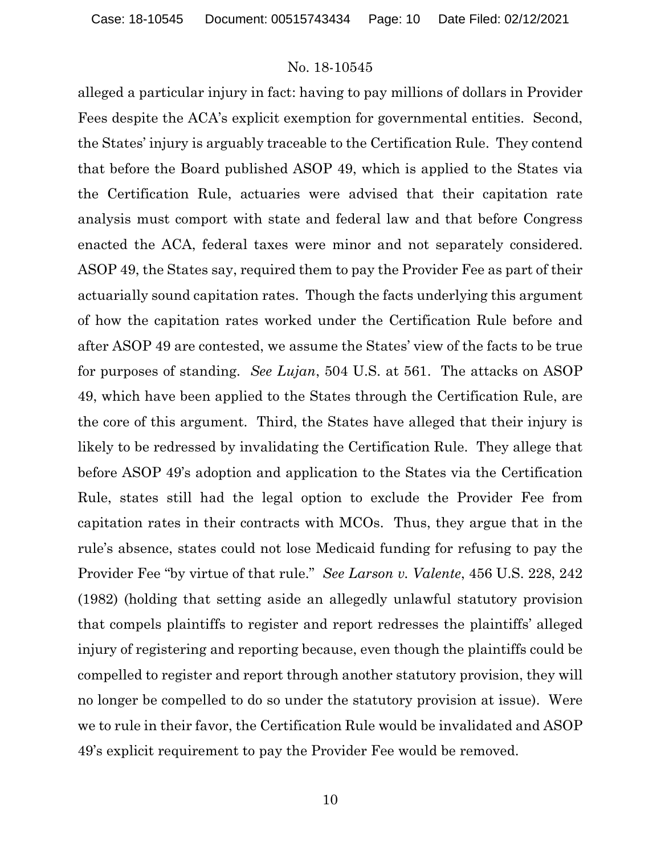alleged a particular injury in fact: having to pay millions of dollars in Provider Fees despite the ACA's explicit exemption for governmental entities. Second, the States' injury is arguably traceable to the Certification Rule. They contend that before the Board published ASOP 49, which is applied to the States via the Certification Rule, actuaries were advised that their capitation rate analysis must comport with state and federal law and that before Congress enacted the ACA, federal taxes were minor and not separately considered. ASOP 49, the States say, required them to pay the Provider Fee as part of their actuarially sound capitation rates. Though the facts underlying this argument of how the capitation rates worked under the Certification Rule before and after ASOP 49 are contested, we assume the States' view of the facts to be true for purposes of standing. *See Lujan*, 504 U.S. at 561. The attacks on ASOP 49, which have been applied to the States through the Certification Rule, are the core of this argument. Third, the States have alleged that their injury is likely to be redressed by invalidating the Certification Rule. They allege that before ASOP 49's adoption and application to the States via the Certification Rule, states still had the legal option to exclude the Provider Fee from capitation rates in their contracts with MCOs. Thus, they argue that in the rule's absence, states could not lose Medicaid funding for refusing to pay the Provider Fee "by virtue of that rule." *See Larson v. Valente*, 456 U.S. 228, 242 (1982) (holding that setting aside an allegedly unlawful statutory provision that compels plaintiffs to register and report redresses the plaintiffs' alleged injury of registering and reporting because, even though the plaintiffs could be compelled to register and report through another statutory provision, they will no longer be compelled to do so under the statutory provision at issue). Were we to rule in their favor, the Certification Rule would be invalidated and ASOP 49's explicit requirement to pay the Provider Fee would be removed.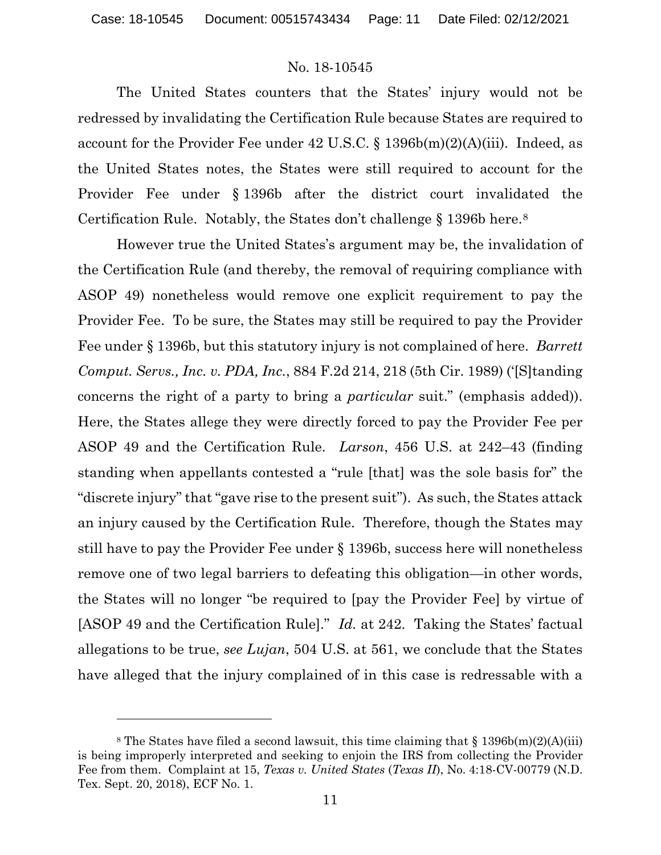The United States counters that the States' injury would not be redressed by invalidating the Certification Rule because States are required to account for the Provider Fee under 42 U.S.C. § 1396b(m)(2)(A)(iii). Indeed, as the United States notes, the States were still required to account for the Provider Fee under § 1396b after the district court invalidated the Certification Rule. Notably, the States don't challenge § 1396b here.[8](#page-10-0)

However true the United States's argument may be, the invalidation of the Certification Rule (and thereby, the removal of requiring compliance with ASOP 49) nonetheless would remove one explicit requirement to pay the Provider Fee. To be sure, the States may still be required to pay the Provider Fee under § 1396b, but this statutory injury is not complained of here. *Barrett Comput. Servs., Inc. v. PDA, Inc.*, 884 F.2d 214, 218 (5th Cir. 1989) ('[S]tanding concerns the right of a party to bring a *particular* suit." (emphasis added)). Here, the States allege they were directly forced to pay the Provider Fee per ASOP 49 and the Certification Rule. *Larson*, 456 U.S. at 242–43 (finding standing when appellants contested a "rule [that] was the sole basis for" the "discrete injury" that "gave rise to the present suit"). As such, the States attack an injury caused by the Certification Rule. Therefore, though the States may still have to pay the Provider Fee under § 1396b, success here will nonetheless remove one of two legal barriers to defeating this obligation—in other words, the States will no longer "be required to [pay the Provider Fee] by virtue of [ASOP 49 and the Certification Rule]." *Id.* at 242. Taking the States' factual allegations to be true, *see Lujan*, 504 U.S. at 561, we conclude that the States have alleged that the injury complained of in this case is redressable with a

<span id="page-10-0"></span><sup>&</sup>lt;sup>8</sup> The States have filed a second lawsuit, this time claiming that  $\S$  1396b(m)(2)(A)(iii) is being improperly interpreted and seeking to enjoin the IRS from collecting the Provider Fee from them. Complaint at 15, *Texas v. United States* (*Texas II*), No. 4:18-CV-00779 (N.D. Tex. Sept. 20, 2018), ECF No. 1.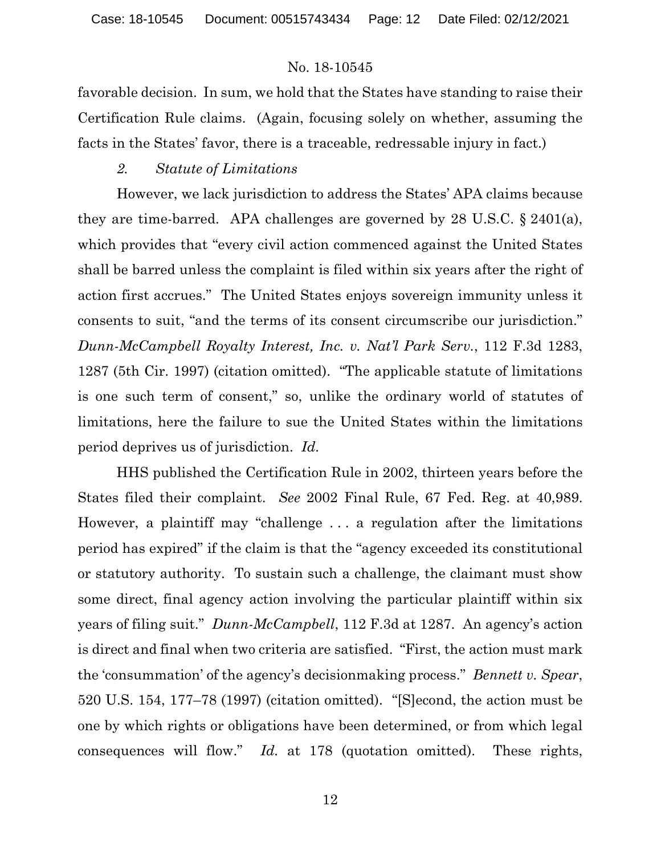favorable decision. In sum, we hold that the States have standing to raise their Certification Rule claims. (Again, focusing solely on whether, assuming the facts in the States' favor, there is a traceable, redressable injury in fact.)

### *2. Statute of Limitations*

However, we lack jurisdiction to address the States' APA claims because they are time-barred. APA challenges are governed by 28 U.S.C. § 2401(a), which provides that "every civil action commenced against the United States shall be barred unless the complaint is filed within six years after the right of action first accrues." The United States enjoys sovereign immunity unless it consents to suit, "and the terms of its consent circumscribe our jurisdiction." *Dunn-McCampbell Royalty Interest, Inc. v. Nat'l Park Serv.*, 112 F.3d 1283, 1287 (5th Cir. 1997) (citation omitted). "The applicable statute of limitations is one such term of consent," so, unlike the ordinary world of statutes of limitations, here the failure to sue the United States within the limitations period deprives us of jurisdiction. *Id.*

HHS published the Certification Rule in 2002, thirteen years before the States filed their complaint. *See* 2002 Final Rule, 67 Fed. Reg. at 40,989. However, a plaintiff may "challenge . . . a regulation after the limitations period has expired" if the claim is that the "agency exceeded its constitutional or statutory authority. To sustain such a challenge, the claimant must show some direct, final agency action involving the particular plaintiff within six years of filing suit." *Dunn-McCampbell*, 112 F.3d at 1287. An agency's action is direct and final when two criteria are satisfied. "First, the action must mark the 'consummation' of the agency's decisionmaking process." *Bennett v. Spear*, 520 U.S. 154, 177–78 (1997) (citation omitted). "[S]econd, the action must be one by which rights or obligations have been determined, or from which legal consequences will flow." *Id.* at 178 (quotation omitted). These rights,

12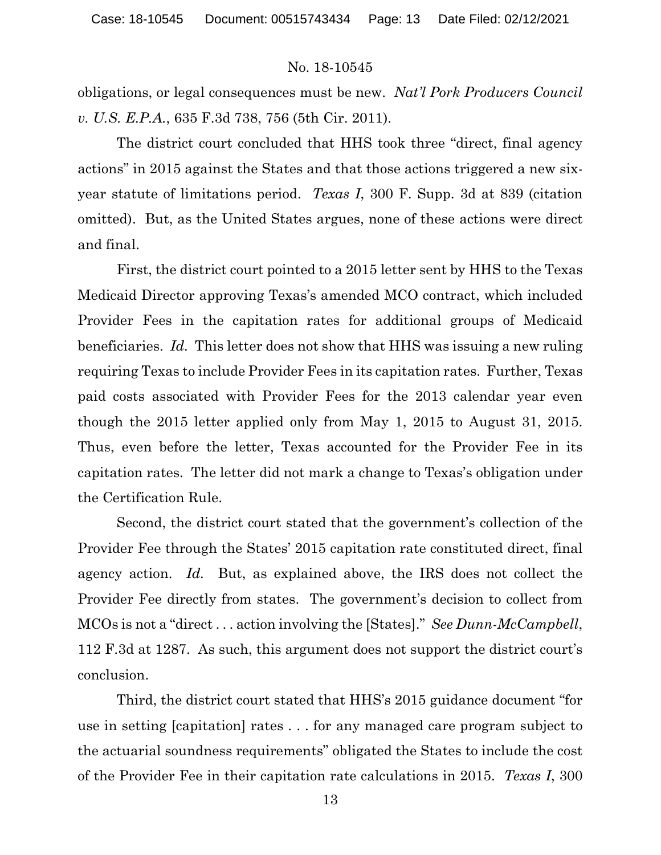obligations, or legal consequences must be new. *Nat'l Pork Producers Council v. U.S. E.P.A.*, 635 F.3d 738, 756 (5th Cir. 2011).

The district court concluded that HHS took three "direct, final agency actions" in 2015 against the States and that those actions triggered a new sixyear statute of limitations period. *Texas I*, 300 F. Supp. 3d at 839 (citation omitted). But, as the United States argues, none of these actions were direct and final.

First, the district court pointed to a 2015 letter sent by HHS to the Texas Medicaid Director approving Texas's amended MCO contract, which included Provider Fees in the capitation rates for additional groups of Medicaid beneficiaries. *Id.* This letter does not show that HHS was issuing a new ruling requiring Texas to include Provider Fees in its capitation rates. Further, Texas paid costs associated with Provider Fees for the 2013 calendar year even though the 2015 letter applied only from May 1, 2015 to August 31, 2015. Thus, even before the letter, Texas accounted for the Provider Fee in its capitation rates. The letter did not mark a change to Texas's obligation under the Certification Rule.

Second, the district court stated that the government's collection of the Provider Fee through the States' 2015 capitation rate constituted direct, final agency action. *Id.* But, as explained above, the IRS does not collect the Provider Fee directly from states. The government's decision to collect from MCOs is not a "direct . . . action involving the [States]." *See Dunn-McCampbell*, 112 F.3d at 1287. As such, this argument does not support the district court's conclusion.

Third, the district court stated that HHS's 2015 guidance document "for use in setting [capitation] rates . . . for any managed care program subject to the actuarial soundness requirements" obligated the States to include the cost of the Provider Fee in their capitation rate calculations in 2015. *Texas I*, 300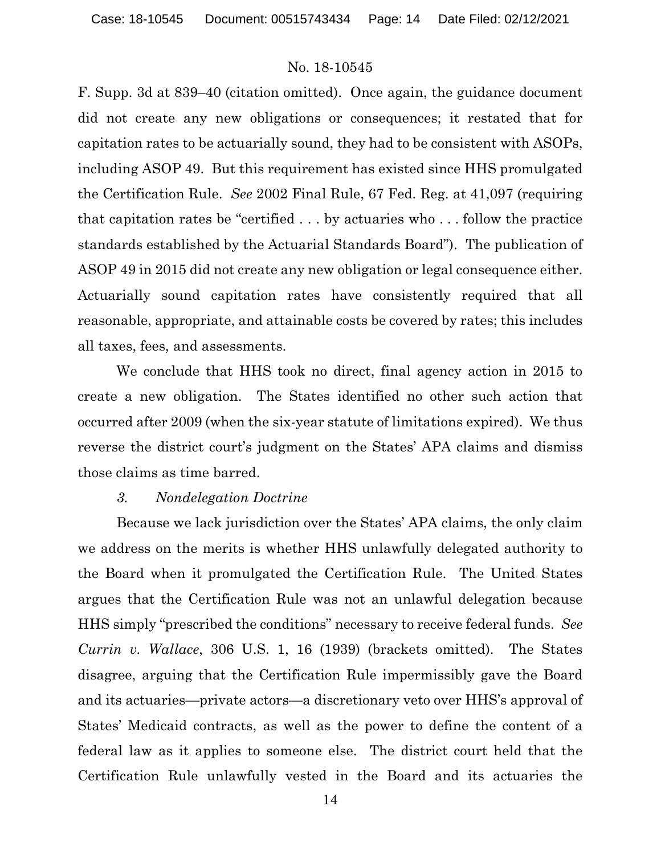F. Supp. 3d at 839–40 (citation omitted). Once again, the guidance document did not create any new obligations or consequences; it restated that for capitation rates to be actuarially sound, they had to be consistent with ASOPs, including ASOP 49. But this requirement has existed since HHS promulgated the Certification Rule. *See* 2002 Final Rule, 67 Fed. Reg. at 41,097 (requiring that capitation rates be "certified . . . by actuaries who . . . follow the practice standards established by the Actuarial Standards Board"). The publication of ASOP 49 in 2015 did not create any new obligation or legal consequence either. Actuarially sound capitation rates have consistently required that all reasonable, appropriate, and attainable costs be covered by rates; this includes all taxes, fees, and assessments.

We conclude that HHS took no direct, final agency action in 2015 to create a new obligation. The States identified no other such action that occurred after 2009 (when the six-year statute of limitations expired). We thus reverse the district court's judgment on the States' APA claims and dismiss those claims as time barred.

#### *3. Nondelegation Doctrine*

Because we lack jurisdiction over the States' APA claims, the only claim we address on the merits is whether HHS unlawfully delegated authority to the Board when it promulgated the Certification Rule. The United States argues that the Certification Rule was not an unlawful delegation because HHS simply "prescribed the conditions" necessary to receive federal funds. *See Currin v. Wallace*, 306 U.S. 1, 16 (1939) (brackets omitted). The States disagree, arguing that the Certification Rule impermissibly gave the Board and its actuaries—private actors—a discretionary veto over HHS's approval of States' Medicaid contracts, as well as the power to define the content of a federal law as it applies to someone else. The district court held that the Certification Rule unlawfully vested in the Board and its actuaries the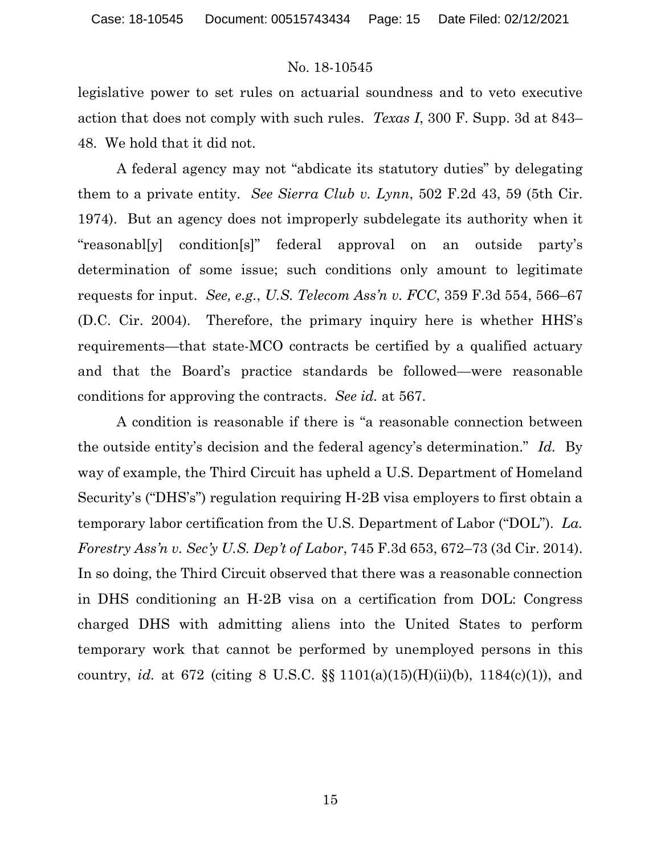legislative power to set rules on actuarial soundness and to veto executive action that does not comply with such rules. *Texas I*, 300 F. Supp. 3d at 843– 48. We hold that it did not.

A federal agency may not "abdicate its statutory duties" by delegating them to a private entity. *See Sierra Club v. Lynn*, 502 F.2d 43, 59 (5th Cir. 1974). But an agency does not improperly subdelegate its authority when it "reasonabl[y] condition[s]" federal approval on an outside party's determination of some issue; such conditions only amount to legitimate requests for input. *See, e.g.*, *U.S. Telecom Ass'n v. FCC*, 359 F.3d 554, 566–67 (D.C. Cir. 2004). Therefore, the primary inquiry here is whether HHS's requirements—that state-MCO contracts be certified by a qualified actuary and that the Board's practice standards be followed—were reasonable conditions for approving the contracts. *See id.* at 567.

A condition is reasonable if there is "a reasonable connection between the outside entity's decision and the federal agency's determination." *Id.* By way of example, the Third Circuit has upheld a U.S. Department of Homeland Security's ("DHS's") regulation requiring H-2B visa employers to first obtain a temporary labor certification from the U.S. Department of Labor ("DOL"). *La. Forestry Ass'n v. Sec'y U.S. Dep't of Labor*, 745 F.3d 653, 672–73 (3d Cir. 2014). In so doing, the Third Circuit observed that there was a reasonable connection in DHS conditioning an H-2B visa on a certification from DOL: Congress charged DHS with admitting aliens into the United States to perform temporary work that cannot be performed by unemployed persons in this country, *id.* at 672 (citing 8 U.S.C. §§ 1101(a)(15)(H)(ii)(b), 1184(c)(1)), and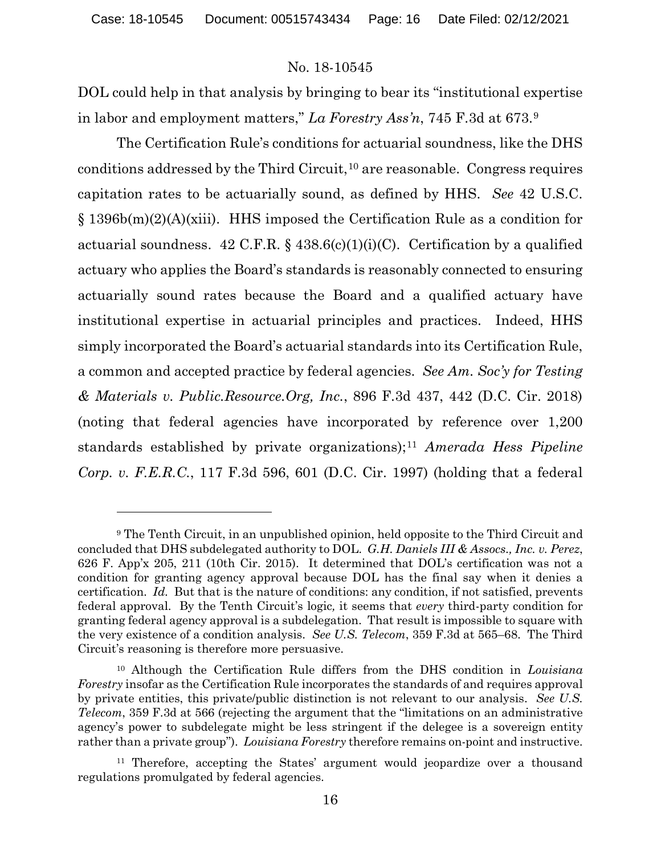DOL could help in that analysis by bringing to bear its "institutional expertise in labor and employment matters," *La Forestry Ass'n*, 745 F.3d at 673.[9](#page-15-0)

The Certification Rule's conditions for actuarial soundness, like the DHS conditions addressed by the Third Circuit,  $10$  are reasonable. Congress requires capitation rates to be actuarially sound, as defined by HHS. *See* 42 U.S.C. § 1396b(m)(2)(A)(xiii). HHS imposed the Certification Rule as a condition for actuarial soundness.  $42 \text{ C.F.R.}$  §  $438.6(c)(1)(i)(C)$ . Certification by a qualified actuary who applies the Board's standards is reasonably connected to ensuring actuarially sound rates because the Board and a qualified actuary have institutional expertise in actuarial principles and practices. Indeed, HHS simply incorporated the Board's actuarial standards into its Certification Rule, a common and accepted practice by federal agencies. *See Am. Soc'y for Testing & Materials v. Public.Resource.Org, Inc.*, 896 F.3d 437, 442 (D.C. Cir. 2018) (noting that federal agencies have incorporated by reference over 1,200 standards established by private organizations);[11](#page-15-2) *Amerada Hess Pipeline Corp. v. F.E.R.C.*, 117 F.3d 596, 601 (D.C. Cir. 1997) (holding that a federal

<span id="page-15-0"></span><sup>9</sup> The Tenth Circuit, in an unpublished opinion, held opposite to the Third Circuit and concluded that DHS subdelegated authority to DOL. *G.H. Daniels III & Assocs., Inc. v. Perez*, 626 F. App'x 205, 211 (10th Cir. 2015). It determined that DOL's certification was not a condition for granting agency approval because DOL has the final say when it denies a certification. *Id.* But that is the nature of conditions: any condition, if not satisfied, prevents federal approval. By the Tenth Circuit's logic*,* it seems that *every* third-party condition for granting federal agency approval is a subdelegation. That result is impossible to square with the very existence of a condition analysis. *See U.S. Telecom*, 359 F.3d at 565–68. The Third Circuit's reasoning is therefore more persuasive.

<span id="page-15-1"></span><sup>10</sup> Although the Certification Rule differs from the DHS condition in *Louisiana Forestry* insofar as the Certification Rule incorporates the standards of and requires approval by private entities, this private/public distinction is not relevant to our analysis. *See U.S. Telecom*, 359 F.3d at 566 (rejecting the argument that the "limitations on an administrative agency's power to subdelegate might be less stringent if the delegee is a sovereign entity rather than a private group"). *Louisiana Forestry* therefore remains on-point and instructive.

<span id="page-15-2"></span><sup>11</sup> Therefore, accepting the States' argument would jeopardize over a thousand regulations promulgated by federal agencies.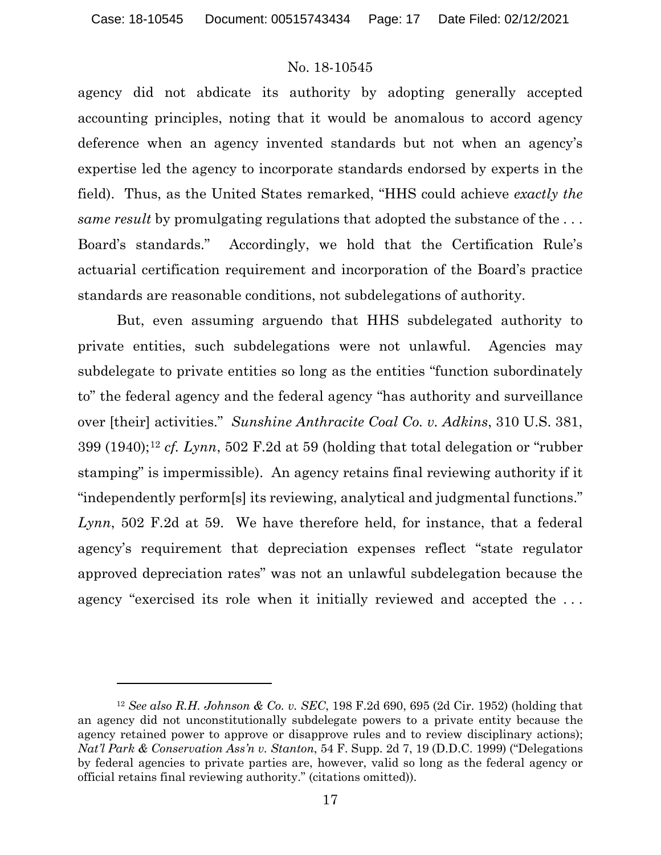agency did not abdicate its authority by adopting generally accepted accounting principles, noting that it would be anomalous to accord agency deference when an agency invented standards but not when an agency's expertise led the agency to incorporate standards endorsed by experts in the field). Thus, as the United States remarked, "HHS could achieve *exactly the same result* by promulgating regulations that adopted the substance of the ... Board's standards." Accordingly, we hold that the Certification Rule's actuarial certification requirement and incorporation of the Board's practice standards are reasonable conditions, not subdelegations of authority.

But, even assuming arguendo that HHS subdelegated authority to private entities, such subdelegations were not unlawful. Agencies may subdelegate to private entities so long as the entities "function subordinately to" the federal agency and the federal agency "has authority and surveillance over [their] activities." *Sunshine Anthracite Coal Co. v. Adkins*, 310 U.S. 381, 399 (1940);[12](#page-16-0) *cf. Lynn*, 502 F.2d at 59 (holding that total delegation or "rubber stamping" is impermissible). An agency retains final reviewing authority if it "independently perform[s] its reviewing, analytical and judgmental functions." *Lynn*, 502 F.2d at 59. We have therefore held, for instance, that a federal agency's requirement that depreciation expenses reflect "state regulator approved depreciation rates" was not an unlawful subdelegation because the agency "exercised its role when it initially reviewed and accepted the . . .

<span id="page-16-0"></span><sup>12</sup> *See also R.H. Johnson & Co. v. SEC*, 198 F.2d 690, 695 (2d Cir. 1952) (holding that an agency did not unconstitutionally subdelegate powers to a private entity because the agency retained power to approve or disapprove rules and to review disciplinary actions); *Nat'l Park & Conservation Ass'n v. Stanton*, 54 F. Supp. 2d 7, 19 (D.D.C. 1999) ("Delegations by federal agencies to private parties are, however, valid so long as the federal agency or official retains final reviewing authority." (citations omitted)).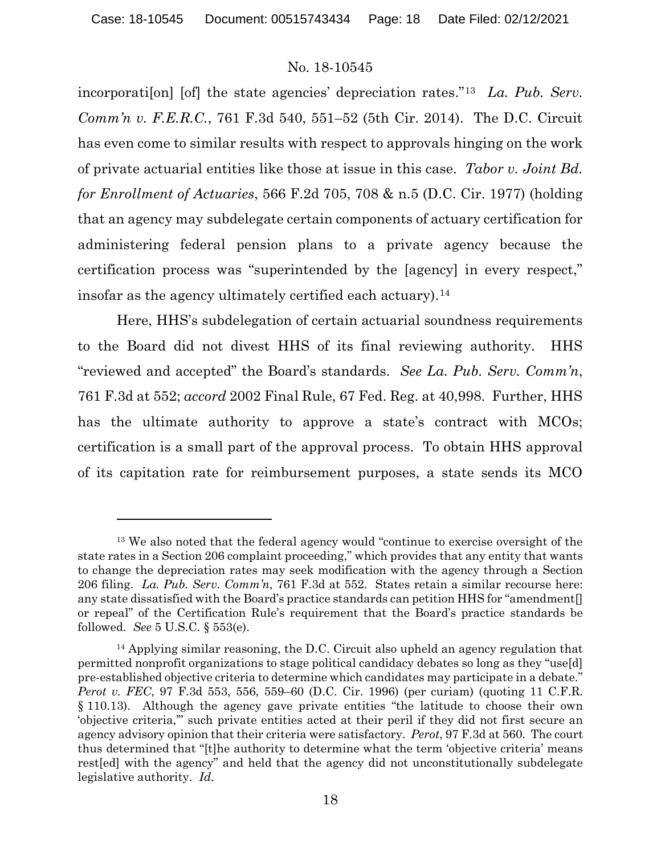incorporati[on] [of] the state agencies' depreciation rates."[13](#page-17-0) *La. Pub. Serv. Comm'n v. F.E.R.C.*, 761 F.3d 540, 551–52 (5th Cir. 2014). The D.C. Circuit has even come to similar results with respect to approvals hinging on the work of private actuarial entities like those at issue in this case. *Tabor v. Joint Bd. for Enrollment of Actuaries*, 566 F.2d 705, 708 & n.5 (D.C. Cir. 1977) (holding that an agency may subdelegate certain components of actuary certification for administering federal pension plans to a private agency because the certification process was "superintended by the [agency] in every respect," insofar as the agency ultimately certified each actuary).<sup>[14](#page-17-1)</sup>

Here, HHS's subdelegation of certain actuarial soundness requirements to the Board did not divest HHS of its final reviewing authority. HHS "reviewed and accepted" the Board's standards. *See La. Pub. Serv. Comm'n*, 761 F.3d at 552; *accord* 2002 Final Rule, 67 Fed. Reg. at 40,998. Further, HHS has the ultimate authority to approve a state's contract with MCOs; certification is a small part of the approval process. To obtain HHS approval of its capitation rate for reimbursement purposes, a state sends its MCO

<span id="page-17-0"></span><sup>13</sup> We also noted that the federal agency would "continue to exercise oversight of the state rates in a Section 206 complaint proceeding," which provides that any entity that wants to change the depreciation rates may seek modification with the agency through a Section 206 filing. *La. Pub. Serv. Comm'n*, 761 F.3d at 552. States retain a similar recourse here: any state dissatisfied with the Board's practice standards can petition HHS for "amendment[] or repeal" of the Certification Rule's requirement that the Board's practice standards be followed. *See* 5 U.S.C. § 553(e).

<span id="page-17-1"></span><sup>&</sup>lt;sup>14</sup> Applying similar reasoning, the D.C. Circuit also upheld an agency regulation that permitted nonprofit organizations to stage political candidacy debates so long as they "use[d] pre-established objective criteria to determine which candidates may participate in a debate." *Perot v. FEC*, 97 F.3d 553, 556, 559–60 (D.C. Cir. 1996) (per curiam) (quoting 11 C.F.R. § 110.13). Although the agency gave private entities "the latitude to choose their own 'objective criteria,'" such private entities acted at their peril if they did not first secure an agency advisory opinion that their criteria were satisfactory. *Perot*, 97 F.3d at 560. The court thus determined that "[t]he authority to determine what the term 'objective criteria' means rest[ed] with the agency" and held that the agency did not unconstitutionally subdelegate legislative authority. *Id.*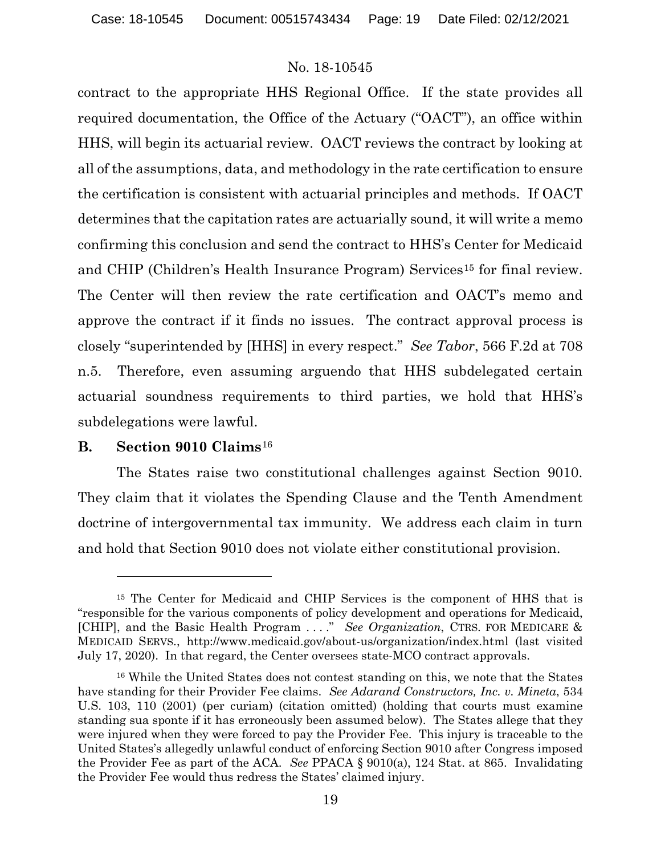contract to the appropriate HHS Regional Office. If the state provides all required documentation, the Office of the Actuary ("OACT"), an office within HHS, will begin its actuarial review. OACT reviews the contract by looking at all of the assumptions, data, and methodology in the rate certification to ensure the certification is consistent with actuarial principles and methods. If OACT determines that the capitation rates are actuarially sound, it will write a memo confirming this conclusion and send the contract to HHS's Center for Medicaid and CHIP (Children's Health Insurance Program) Services<sup>[15](#page-18-0)</sup> for final review. The Center will then review the rate certification and OACT's memo and approve the contract if it finds no issues. The contract approval process is closely "superintended by [HHS] in every respect." *See Tabor*, 566 F.2d at 708 n.5. Therefore, even assuming arguendo that HHS subdelegated certain actuarial soundness requirements to third parties, we hold that HHS's subdelegations were lawful.

# **B. Section 9010 Claims**[16](#page-18-1)

The States raise two constitutional challenges against Section 9010. They claim that it violates the Spending Clause and the Tenth Amendment doctrine of intergovernmental tax immunity. We address each claim in turn and hold that Section 9010 does not violate either constitutional provision.

<span id="page-18-0"></span><sup>&</sup>lt;sup>15</sup> The Center for Medicaid and CHIP Services is the component of HHS that is "responsible for the various components of policy development and operations for Medicaid, [CHIP], and the Basic Health Program . . . ." *See Organization*, CTRS. FOR MEDICARE & MEDICAID SERVS., http://www.medicaid.gov/about-us/organization/index.html (last visited July 17, 2020). In that regard, the Center oversees state-MCO contract approvals.

<span id="page-18-1"></span><sup>16</sup> While the United States does not contest standing on this, we note that the States have standing for their Provider Fee claims. *See Adarand Constructors, Inc. v. Mineta*, 534 U.S. 103, 110 (2001) (per curiam) (citation omitted) (holding that courts must examine standing sua sponte if it has erroneously been assumed below). The States allege that they were injured when they were forced to pay the Provider Fee. This injury is traceable to the United States's allegedly unlawful conduct of enforcing Section 9010 after Congress imposed the Provider Fee as part of the ACA. *See* PPACA § 9010(a), 124 Stat. at 865. Invalidating the Provider Fee would thus redress the States' claimed injury.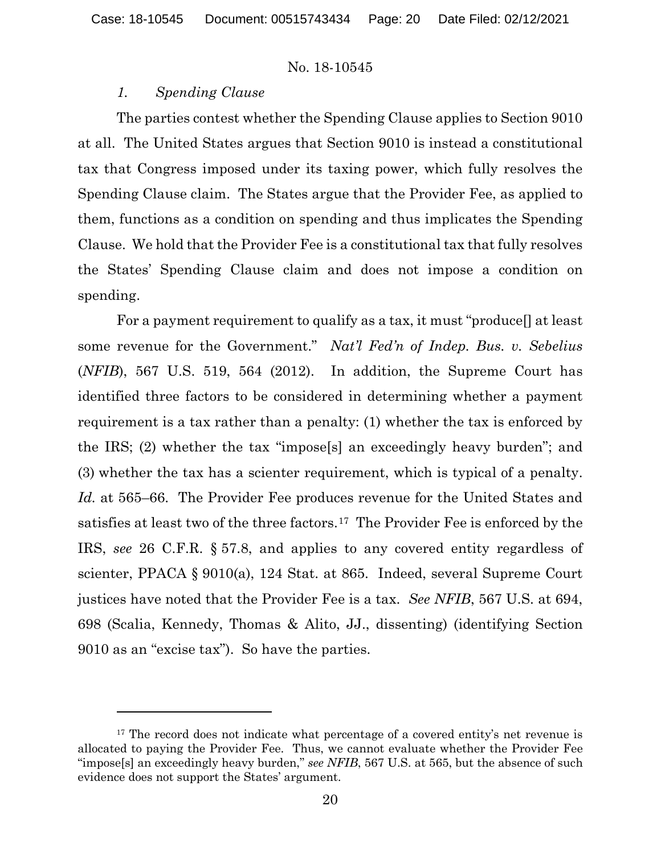### *1. Spending Clause*

The parties contest whether the Spending Clause applies to Section 9010 at all. The United States argues that Section 9010 is instead a constitutional tax that Congress imposed under its taxing power, which fully resolves the Spending Clause claim. The States argue that the Provider Fee, as applied to them, functions as a condition on spending and thus implicates the Spending Clause. We hold that the Provider Fee is a constitutional tax that fully resolves the States' Spending Clause claim and does not impose a condition on spending.

For a payment requirement to qualify as a tax, it must "produce[] at least some revenue for the Government." *Nat'l Fed'n of Indep. Bus. v. Sebelius*  (*NFIB*), 567 U.S. 519, 564 (2012). In addition, the Supreme Court has identified three factors to be considered in determining whether a payment requirement is a tax rather than a penalty: (1) whether the tax is enforced by the IRS; (2) whether the tax "impose[s] an exceedingly heavy burden"; and (3) whether the tax has a scienter requirement, which is typical of a penalty. *Id.* at 565–66. The Provider Fee produces revenue for the United States and satisfies at least two of the three factors.<sup>[17](#page-19-0)</sup> The Provider Fee is enforced by the IRS, *see* 26 C.F.R. § 57.8, and applies to any covered entity regardless of scienter, PPACA § 9010(a), 124 Stat. at 865. Indeed, several Supreme Court justices have noted that the Provider Fee is a tax. *See NFIB*, 567 U.S. at 694, 698 (Scalia, Kennedy, Thomas & Alito, JJ., dissenting) (identifying Section 9010 as an "excise tax"). So have the parties.

<span id="page-19-0"></span><sup>&</sup>lt;sup>17</sup> The record does not indicate what percentage of a covered entity's net revenue is allocated to paying the Provider Fee. Thus, we cannot evaluate whether the Provider Fee "impose[s] an exceedingly heavy burden," *see NFIB*, 567 U.S. at 565, but the absence of such evidence does not support the States' argument.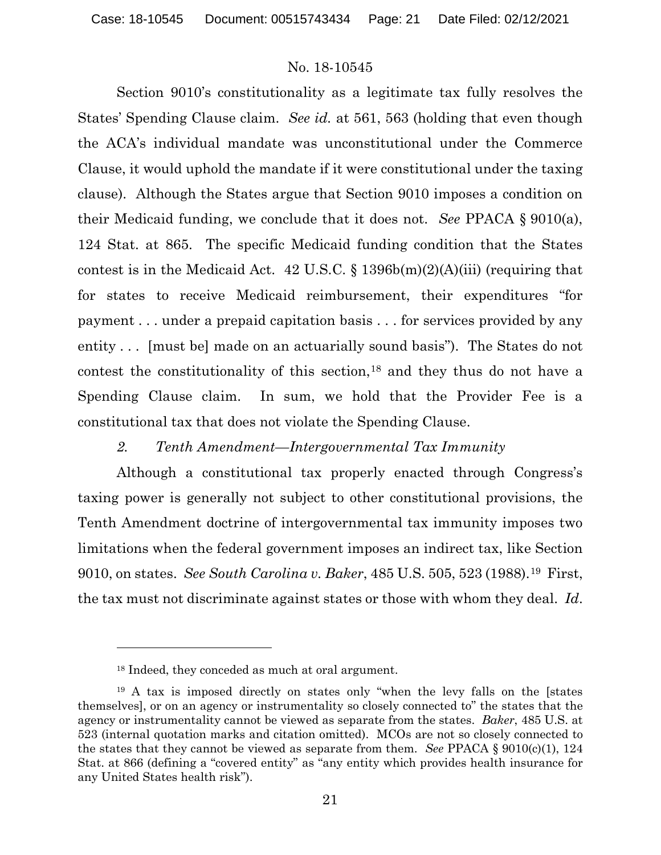Section 9010's constitutionality as a legitimate tax fully resolves the States' Spending Clause claim. *See id.* at 561, 563 (holding that even though the ACA's individual mandate was unconstitutional under the Commerce Clause, it would uphold the mandate if it were constitutional under the taxing clause). Although the States argue that Section 9010 imposes a condition on their Medicaid funding, we conclude that it does not. *See* PPACA § 9010(a), 124 Stat. at 865. The specific Medicaid funding condition that the States contest is in the Medicaid Act. 42 U.S.C.  $\S$  1396b(m)(2)(A)(iii) (requiring that for states to receive Medicaid reimbursement, their expenditures "for payment . . . under a prepaid capitation basis . . . for services provided by any entity . . . [must be] made on an actuarially sound basis"). The States do not contest the constitutionality of this section,<sup>[18](#page-20-0)</sup> and they thus do not have a Spending Clause claim. In sum, we hold that the Provider Fee is a constitutional tax that does not violate the Spending Clause.

# *2. Tenth Amendment—Intergovernmental Tax Immunity*

Although a constitutional tax properly enacted through Congress's taxing power is generally not subject to other constitutional provisions, the Tenth Amendment doctrine of intergovernmental tax immunity imposes two limitations when the federal government imposes an indirect tax, like Section 9010, on states. *See South Carolina v. Baker*, 485 U.S. 505, 523 (1988).[19](#page-20-1) First, the tax must not discriminate against states or those with whom they deal. *Id*.

<sup>18</sup> Indeed, they conceded as much at oral argument.

<span id="page-20-1"></span><span id="page-20-0"></span><sup>19</sup> A tax is imposed directly on states only "when the levy falls on the [states themselves], or on an agency or instrumentality so closely connected to" the states that the agency or instrumentality cannot be viewed as separate from the states. *Baker*, 485 U.S. at 523 (internal quotation marks and citation omitted). MCOs are not so closely connected to the states that they cannot be viewed as separate from them. *See* PPACA § 9010(c)(1), 124 Stat. at 866 (defining a "covered entity" as "any entity which provides health insurance for any United States health risk").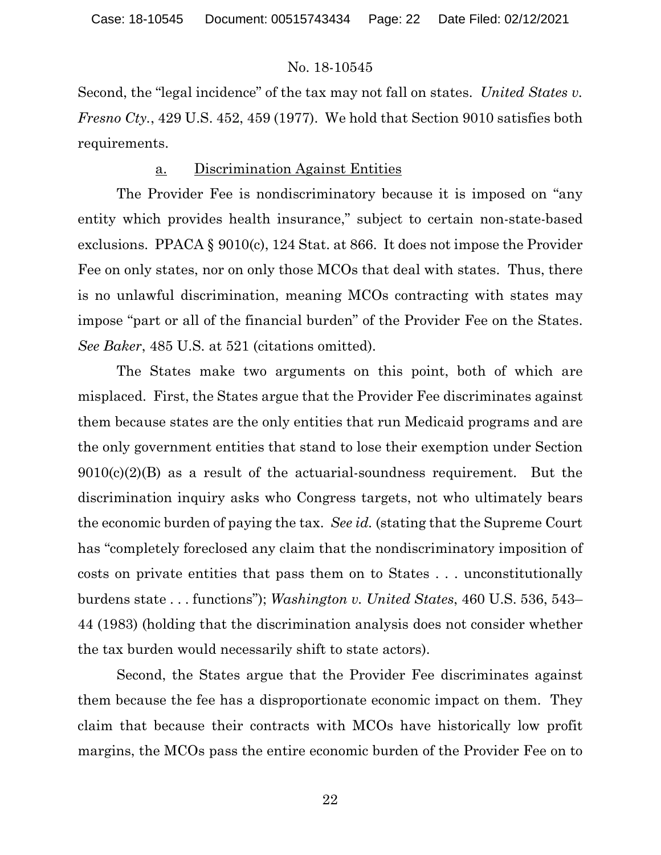Second, the "legal incidence" of the tax may not fall on states. *United States v. Fresno Cty.*, 429 U.S. 452, 459 (1977). We hold that Section 9010 satisfies both requirements.

# a. Discrimination Against Entities

The Provider Fee is nondiscriminatory because it is imposed on "any entity which provides health insurance," subject to certain non-state-based exclusions. PPACA § 9010(c), 124 Stat. at 866. It does not impose the Provider Fee on only states, nor on only those MCOs that deal with states. Thus, there is no unlawful discrimination, meaning MCOs contracting with states may impose "part or all of the financial burden" of the Provider Fee on the States. *See Baker*, 485 U.S. at 521 (citations omitted).

The States make two arguments on this point, both of which are misplaced. First, the States argue that the Provider Fee discriminates against them because states are the only entities that run Medicaid programs and are the only government entities that stand to lose their exemption under Section  $9010(c)(2)(B)$  as a result of the actuarial-soundness requirement. But the discrimination inquiry asks who Congress targets, not who ultimately bears the economic burden of paying the tax. *See id.* (stating that the Supreme Court has "completely foreclosed any claim that the nondiscriminatory imposition of costs on private entities that pass them on to States . . . unconstitutionally burdens state . . . functions"); *Washington v. United States*, 460 U.S. 536, 543– 44 (1983) (holding that the discrimination analysis does not consider whether the tax burden would necessarily shift to state actors).

Second, the States argue that the Provider Fee discriminates against them because the fee has a disproportionate economic impact on them. They claim that because their contracts with MCOs have historically low profit margins, the MCOs pass the entire economic burden of the Provider Fee on to

22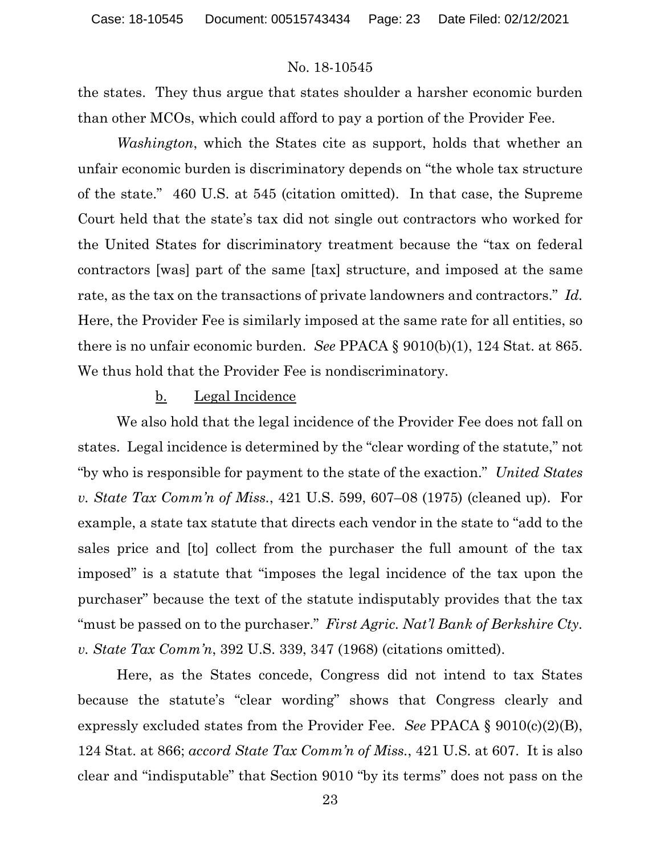the states. They thus argue that states shoulder a harsher economic burden than other MCOs, which could afford to pay a portion of the Provider Fee.

*Washington*, which the States cite as support, holds that whether an unfair economic burden is discriminatory depends on "the whole tax structure of the state." 460 U.S. at 545 (citation omitted). In that case, the Supreme Court held that the state's tax did not single out contractors who worked for the United States for discriminatory treatment because the "tax on federal contractors [was] part of the same [tax] structure, and imposed at the same rate, as the tax on the transactions of private landowners and contractors." *Id.* Here, the Provider Fee is similarly imposed at the same rate for all entities, so there is no unfair economic burden. *See* PPACA § 9010(b)(1), 124 Stat. at 865. We thus hold that the Provider Fee is nondiscriminatory.

#### b. Legal Incidence

We also hold that the legal incidence of the Provider Fee does not fall on states. Legal incidence is determined by the "clear wording of the statute," not "by who is responsible for payment to the state of the exaction." *United States v. State Tax Comm'n of Miss.*, 421 U.S. 599, 607–08 (1975) (cleaned up). For example, a state tax statute that directs each vendor in the state to "add to the sales price and [to] collect from the purchaser the full amount of the tax imposed" is a statute that "imposes the legal incidence of the tax upon the purchaser" because the text of the statute indisputably provides that the tax "must be passed on to the purchaser." *First Agric. Nat'l Bank of Berkshire Cty. v. State Tax Comm'n*, 392 U.S. 339, 347 (1968) (citations omitted).

Here, as the States concede, Congress did not intend to tax States because the statute's "clear wording" shows that Congress clearly and expressly excluded states from the Provider Fee. *See* PPACA § 9010(c)(2)(B), 124 Stat. at 866; *accord State Tax Comm'n of Miss.*, 421 U.S. at 607. It is also clear and "indisputable" that Section 9010 "by its terms" does not pass on the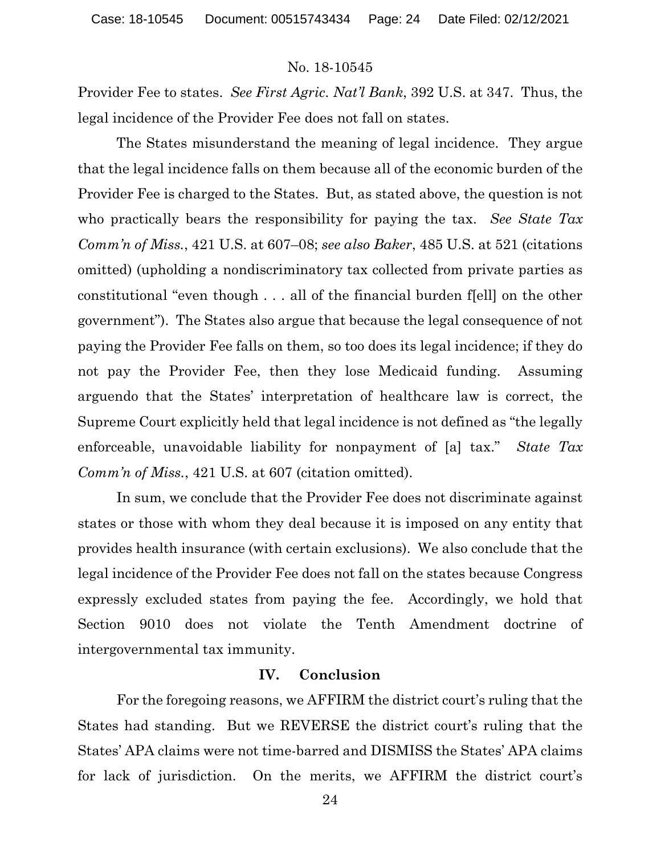Provider Fee to states. *See First Agric. Nat'l Bank*, 392 U.S. at 347. Thus, the legal incidence of the Provider Fee does not fall on states.

The States misunderstand the meaning of legal incidence. They argue that the legal incidence falls on them because all of the economic burden of the Provider Fee is charged to the States. But, as stated above, the question is not who practically bears the responsibility for paying the tax. *See State Tax Comm'n of Miss.*, 421 U.S. at 607–08; *see also Baker*, 485 U.S. at 521 (citations omitted) (upholding a nondiscriminatory tax collected from private parties as constitutional "even though . . . all of the financial burden f[ell] on the other government"). The States also argue that because the legal consequence of not paying the Provider Fee falls on them, so too does its legal incidence; if they do not pay the Provider Fee, then they lose Medicaid funding. Assuming arguendo that the States' interpretation of healthcare law is correct, the Supreme Court explicitly held that legal incidence is not defined as "the legally enforceable, unavoidable liability for nonpayment of [a] tax." *State Tax Comm'n of Miss.*, 421 U.S. at 607 (citation omitted).

In sum, we conclude that the Provider Fee does not discriminate against states or those with whom they deal because it is imposed on any entity that provides health insurance (with certain exclusions). We also conclude that the legal incidence of the Provider Fee does not fall on the states because Congress expressly excluded states from paying the fee. Accordingly, we hold that Section 9010 does not violate the Tenth Amendment doctrine of intergovernmental tax immunity.

### **IV. Conclusion**

For the foregoing reasons, we AFFIRM the district court's ruling that the States had standing. But we REVERSE the district court's ruling that the States' APA claims were not time-barred and DISMISS the States' APA claims for lack of jurisdiction. On the merits, we AFFIRM the district court's